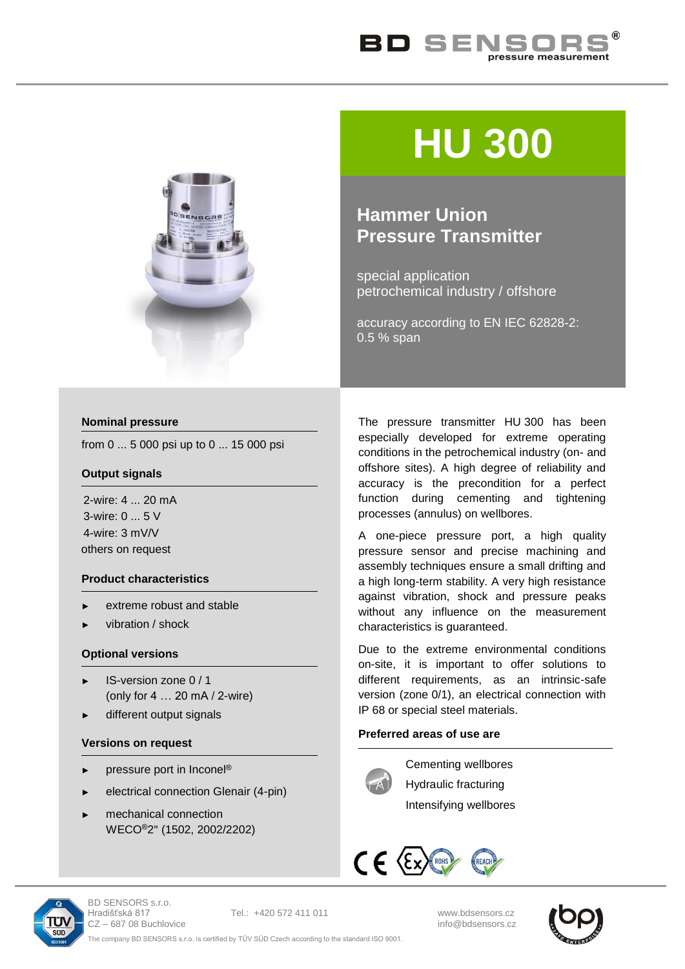



# **HU 300**

# **Hammer Union Pressure Transmitter**

special application petrochemical industry / offshore

accuracy according to EN IEC 62828-2: 0.5 % span

# **Nominal pressure**

from 0 ... 5 000 psi up to 0 ... 15 000 psi

# **Output signals**

2-wire: 4 ... 20 mA 3-wire: 0 ... 5 V 4-wire: 3 mV/V others on request

# **Product characteristics**

- extreme robust and stable
- vibration / shock

# **Optional versions**

- ► IS-version zone 0 / 1 (only for 4 … 20 mA / 2-wire)
- different output signals

# **Versions on request**

- pressure port in Inconel®
- ► electrical connection Glenair (4-pin)
- mechanical connection WECO®2" (1502, 2002/2202)

The pressure transmitter HU 300 has been especially developed for extreme operating conditions in the petrochemical industry (on- and offshore sites). A high degree of reliability and accuracy is the precondition for a perfect function during cementing and tightening processes (annulus) on wellbores.

A one-piece pressure port, a high quality pressure sensor and precise machining and assembly techniques ensure a small drifting and a high long-term stability. A very high resistance against vibration, shock and pressure peaks without any influence on the measurement characteristics is guaranteed.

Due to the extreme environmental conditions on-site, it is important to offer solutions to different requirements, as an intrinsic-safe version (zone 0/1), an electrical connection with IP 68 or special steel materials.

# **Preferred areas of use are**



Cementing wellbores Hydraulic fracturing

Intensifying wellbores





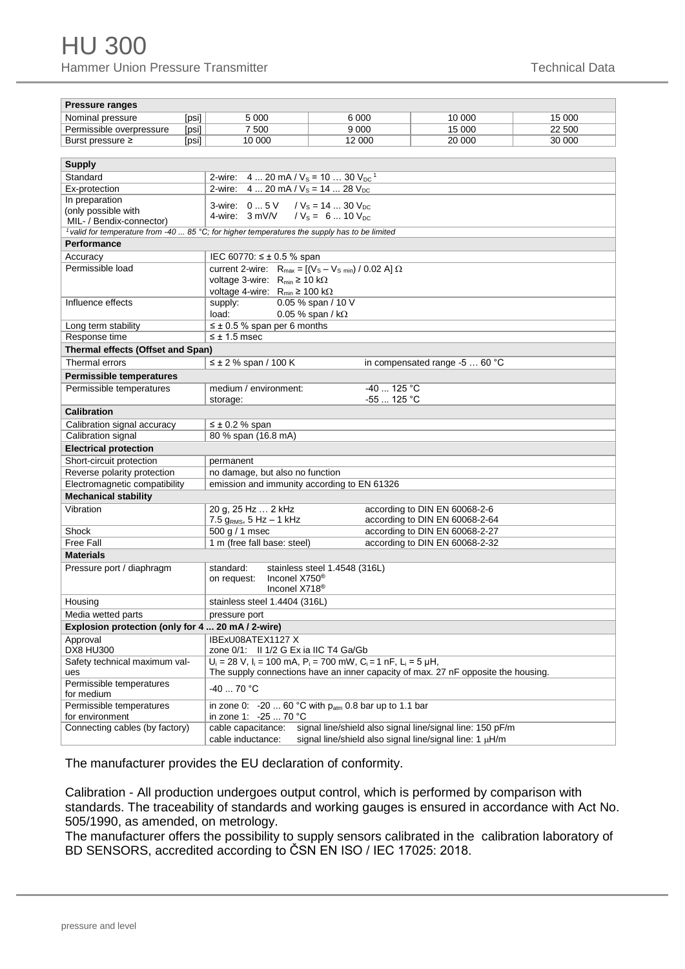| <b>Pressure ranges</b>                                                                                            |       |                                                                                                                                                                |                                                              |                                                                  |        |  |
|-------------------------------------------------------------------------------------------------------------------|-------|----------------------------------------------------------------------------------------------------------------------------------------------------------------|--------------------------------------------------------------|------------------------------------------------------------------|--------|--|
| Nominal pressure                                                                                                  | [psi] | 5 0 0 0                                                                                                                                                        | 6 0 0 0                                                      | 10 000                                                           | 15 000 |  |
| Permissible overpressure                                                                                          | [psi] | 7 500                                                                                                                                                          | 9 0 0 0                                                      | 15 000                                                           | 22 500 |  |
| Burst pressure ≥                                                                                                  | [psi] | 10 000                                                                                                                                                         | 12 000                                                       | 20 000                                                           | 30 000 |  |
|                                                                                                                   |       |                                                                                                                                                                |                                                              |                                                                  |        |  |
| <b>Supply</b>                                                                                                     |       |                                                                                                                                                                |                                                              |                                                                  |        |  |
| Standard                                                                                                          |       | 4  20 mA / $V_s$ = 10  30 $V_{DC}$ <sup>1</sup><br>2-wire:                                                                                                     |                                                              |                                                                  |        |  |
| Ex-protection                                                                                                     |       | 2-wire: $420$ mA / $V_s = 1428$ $V_{DC}$                                                                                                                       |                                                              |                                                                  |        |  |
| In preparation                                                                                                    |       | 3-wire: 0 5 V<br>/ $V_s$ = 14  30 $V_{DC}$                                                                                                                     |                                                              |                                                                  |        |  |
| (only possible with                                                                                               |       | 4-wire: 3 mV/V<br>$/V_s = 6  10 V_{DC}$                                                                                                                        |                                                              |                                                                  |        |  |
| MIL- / Bendix-connector)                                                                                          |       |                                                                                                                                                                |                                                              |                                                                  |        |  |
| <sup>1</sup> valid for temperature from -40  85 °C; for higher temperatures the supply has to be limited          |       |                                                                                                                                                                |                                                              |                                                                  |        |  |
| Performance                                                                                                       |       |                                                                                                                                                                |                                                              |                                                                  |        |  |
| Accuracy                                                                                                          |       | IEC 60770: ≤ ± 0.5 % span                                                                                                                                      |                                                              |                                                                  |        |  |
| Permissible load                                                                                                  |       | current 2-wire: $R_{max} = [(V_S - V_{S,min}) / 0.02 A] \Omega$                                                                                                |                                                              |                                                                  |        |  |
|                                                                                                                   |       | voltage 3-wire: R <sub>min</sub> ≥ 10 kΩ                                                                                                                       |                                                              |                                                                  |        |  |
|                                                                                                                   |       | voltage 4-wire: $R_{min} \ge 100 k\Omega$                                                                                                                      |                                                              |                                                                  |        |  |
| Influence effects                                                                                                 |       | supply:                                                                                                                                                        | 0.05 % span / 10 V                                           |                                                                  |        |  |
|                                                                                                                   |       | load:<br>0.05 % span / $k\Omega$                                                                                                                               |                                                              |                                                                  |        |  |
| Long term stability                                                                                               |       | $\leq \pm 0.5$ % span per 6 months                                                                                                                             |                                                              |                                                                  |        |  |
| Response time<br>$\leq \pm 1.5$ msec                                                                              |       |                                                                                                                                                                |                                                              |                                                                  |        |  |
| Thermal effects (Offset and Span)                                                                                 |       |                                                                                                                                                                |                                                              |                                                                  |        |  |
| Thermal errors                                                                                                    |       | $\leq \pm 2$ % span / 100 K                                                                                                                                    |                                                              | in compensated range -5  60 °C                                   |        |  |
| <b>Permissible temperatures</b>                                                                                   |       |                                                                                                                                                                |                                                              |                                                                  |        |  |
| Permissible temperatures                                                                                          |       | medium / environment:                                                                                                                                          | $-40$ 125 °C                                                 |                                                                  |        |  |
|                                                                                                                   |       | storage:                                                                                                                                                       | $-55$ 125 °C                                                 |                                                                  |        |  |
| <b>Calibration</b>                                                                                                |       |                                                                                                                                                                |                                                              |                                                                  |        |  |
| Calibration signal accuracy                                                                                       |       | $\leq \pm 0.2$ % span                                                                                                                                          |                                                              |                                                                  |        |  |
| Calibration signal                                                                                                |       | 80 % span (16.8 mA)                                                                                                                                            |                                                              |                                                                  |        |  |
| <b>Electrical protection</b>                                                                                      |       |                                                                                                                                                                |                                                              |                                                                  |        |  |
| Short-circuit protection                                                                                          |       | permanent                                                                                                                                                      |                                                              |                                                                  |        |  |
| Reverse polarity protection                                                                                       |       | no damage, but also no function                                                                                                                                |                                                              |                                                                  |        |  |
| Electromagnetic compatibility<br>emission and immunity according to EN 61326                                      |       |                                                                                                                                                                |                                                              |                                                                  |        |  |
| <b>Mechanical stability</b>                                                                                       |       |                                                                                                                                                                |                                                              |                                                                  |        |  |
| Vibration                                                                                                         |       | 20 g, 25 Hz  2 kHz                                                                                                                                             |                                                              | according to DIN EN 60068-2-6                                    |        |  |
|                                                                                                                   |       | 7.5 $g_{RMS}$ , 5 Hz - 1 kHz                                                                                                                                   |                                                              | according to DIN EN 60068-2-64                                   |        |  |
| Shock                                                                                                             |       | 500 g / 1 msec                                                                                                                                                 |                                                              | according to DIN EN 60068-2-27<br>according to DIN EN 60068-2-32 |        |  |
| <b>Free Fall</b>                                                                                                  |       | 1 m (free fall base: steel)                                                                                                                                    |                                                              |                                                                  |        |  |
| <b>Materials</b>                                                                                                  |       |                                                                                                                                                                |                                                              |                                                                  |        |  |
| Pressure port / diaphragm                                                                                         |       | standard:                                                                                                                                                      | stainless steel 1.4548 (316L)                                |                                                                  |        |  |
|                                                                                                                   |       | Inconel X750 <sup>®</sup><br>on request:<br>Inconel X718 <sup>®</sup>                                                                                          |                                                              |                                                                  |        |  |
|                                                                                                                   |       | stainless steel 1.4404 (316L)                                                                                                                                  |                                                              |                                                                  |        |  |
| Housing                                                                                                           |       |                                                                                                                                                                |                                                              |                                                                  |        |  |
| Media wetted parts<br>pressure port                                                                               |       |                                                                                                                                                                |                                                              |                                                                  |        |  |
| Explosion protection (only for 4  20 mA / 2-wire)                                                                 |       |                                                                                                                                                                |                                                              |                                                                  |        |  |
| Approval<br>DX8 HU300                                                                                             |       | IBExU08ATEX1127 X                                                                                                                                              |                                                              |                                                                  |        |  |
|                                                                                                                   |       | zone 0/1: II 1/2 G Ex ia IIC T4 Ga/Gb                                                                                                                          |                                                              |                                                                  |        |  |
| Safety technical maximum val-<br>ues                                                                              |       | $U_i = 28$ V, $I_i = 100$ mA, $P_i = 700$ mW, $C_i = 1$ nF, $L_i = 5$ µH,<br>The supply connections have an inner capacity of max. 27 nF opposite the housing. |                                                              |                                                                  |        |  |
| Permissible temperatures                                                                                          |       |                                                                                                                                                                |                                                              |                                                                  |        |  |
| for medium                                                                                                        |       | $-40$ 70 °C                                                                                                                                                    |                                                              |                                                                  |        |  |
| Permissible temperatures                                                                                          |       | in zone 0: -20  60 °C with $p_{atm}$ 0.8 bar up to 1.1 bar                                                                                                     |                                                              |                                                                  |        |  |
| for environment                                                                                                   |       | in zone 1: -25  70 °C                                                                                                                                          |                                                              |                                                                  |        |  |
| signal line/shield also signal line/signal line: 150 pF/m<br>Connecting cables (by factory)<br>cable capacitance: |       |                                                                                                                                                                |                                                              |                                                                  |        |  |
|                                                                                                                   |       | cable inductance:                                                                                                                                              | signal line/shield also signal line/signal line: $1 \mu H/m$ |                                                                  |        |  |

The manufacturer provides the EU declaration of conformity.

Calibration - All production undergoes output control, which is performed by comparison with standards. The traceability of standards and working gauges is ensured in accordance with Act No. 505/1990, as amended, on metrology.

The manufacturer offers the possibility to supply sensors calibrated in the calibration laboratory of BD SENSORS, accredited according to ČSN EN ISO / IEC 17025: 2018.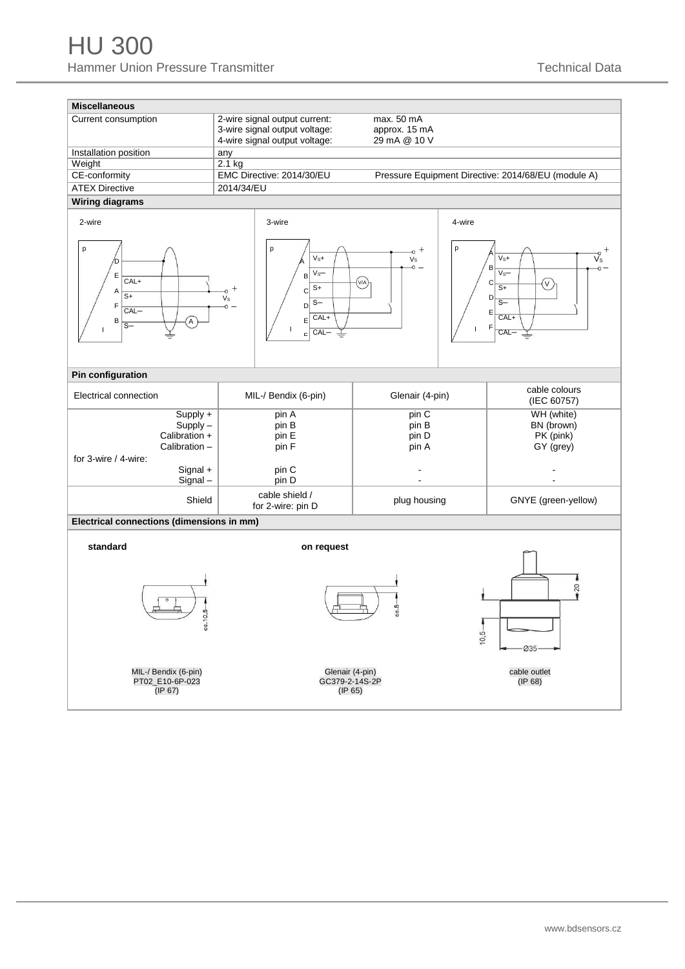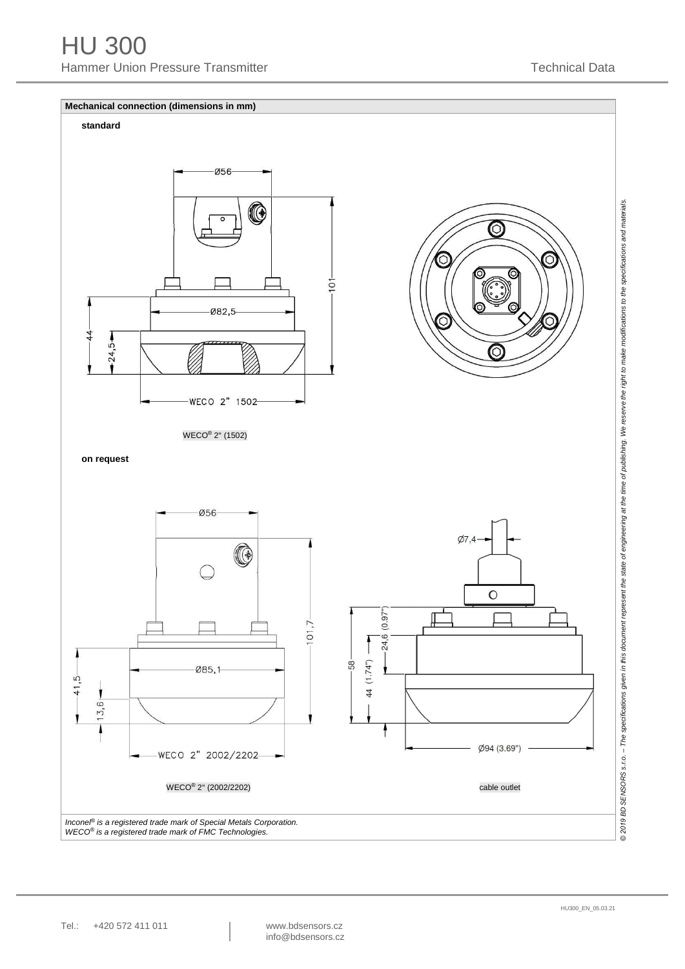

*WECO ® is a registered trade mark of FMC Technologies.*